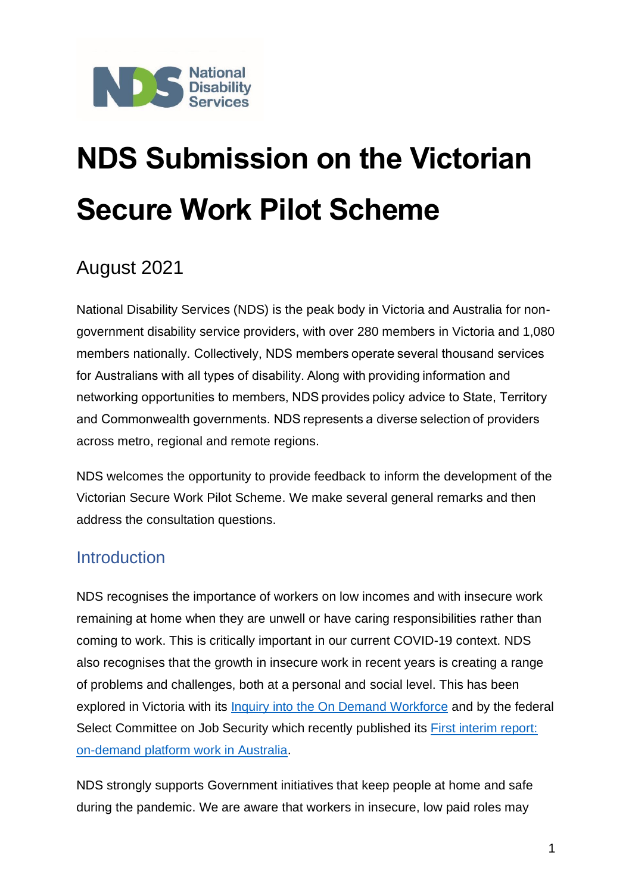

# **NDS Submission on the Victorian Secure Work Pilot Scheme**

## August 2021

National Disability Services (NDS) is the peak body in Victoria and Australia for nongovernment disability service providers, with over 280 members in Victoria and 1,080 members nationally. Collectively, NDS members operate several thousand services for Australians with all types of disability. Along with providing information and networking opportunities to members, NDS provides policy advice to State, Territory and Commonwealth governments. NDS represents a diverse selection of providers across metro, regional and remote regions.

NDS welcomes the opportunity to provide feedback to inform the development of the Victorian Secure Work Pilot Scheme. We make several general remarks and then address the consultation questions.

### **Introduction**

NDS recognises the importance of workers on low incomes and with insecure work remaining at home when they are unwell or have caring responsibilities rather than coming to work. This is critically important in our current COVID-19 context. NDS also recognises that the growth in insecure work in recent years is creating a range of problems and challenges, both at a personal and social level. This has been explored in Victoria with its [Inquiry into the On Demand Workforce](https://engage.vic.gov.au/inquiry-on-demand-workforce) and by the federal Select Committee on Job Security which recently published its [First interim report:](https://www.aph.gov.au/Parliamentary_Business/Committees/Senate/Job_Security/JobSecurity/Interim_Report)  [on-demand platform work in Australia.](https://www.aph.gov.au/Parliamentary_Business/Committees/Senate/Job_Security/JobSecurity/Interim_Report)

NDS strongly supports Government initiatives that keep people at home and safe during the pandemic. We are aware that workers in insecure, low paid roles may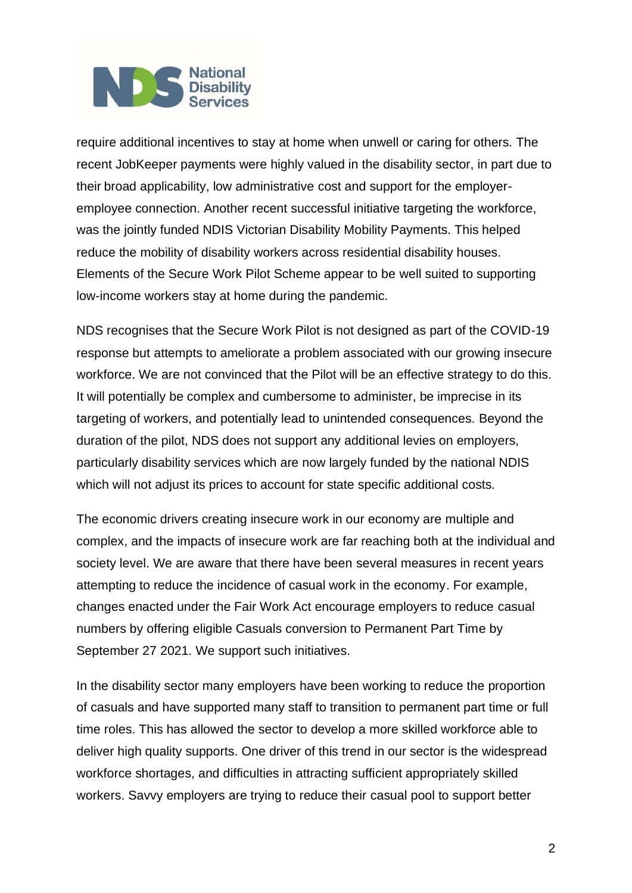require additional incentives to stay at home when unwell or caring for others. The recent JobKeeper payments were highly valued in the disability sector, in part due to their broad applicability, low administrative cost and support for the employeremployee connection. Another recent successful initiative targeting the workforce, was the jointly funded NDIS Victorian Disability Mobility Payments. This helped reduce the mobility of disability workers across residential disability houses. Elements of the Secure Work Pilot Scheme appear to be well suited to supporting low-income workers stay at home during the pandemic.

NDS recognises that the Secure Work Pilot is not designed as part of the COVID-19 response but attempts to ameliorate a problem associated with our growing insecure workforce. We are not convinced that the Pilot will be an effective strategy to do this. It will potentially be complex and cumbersome to administer, be imprecise in its targeting of workers, and potentially lead to unintended consequences. Beyond the duration of the pilot, NDS does not support any additional levies on employers, particularly disability services which are now largely funded by the national NDIS which will not adjust its prices to account for state specific additional costs.

The economic drivers creating insecure work in our economy are multiple and complex, and the impacts of insecure work are far reaching both at the individual and society level. We are aware that there have been several measures in recent years attempting to reduce the incidence of casual work in the economy. For example, changes enacted under the Fair Work Act encourage employers to reduce casual numbers by offering eligible Casuals conversion to Permanent Part Time by September 27 2021. We support such initiatives.

In the disability sector many employers have been working to reduce the proportion of casuals and have supported many staff to transition to permanent part time or full time roles. This has allowed the sector to develop a more skilled workforce able to deliver high quality supports. One driver of this trend in our sector is the widespread workforce shortages, and difficulties in attracting sufficient appropriately skilled workers. Savvy employers are trying to reduce their casual pool to support better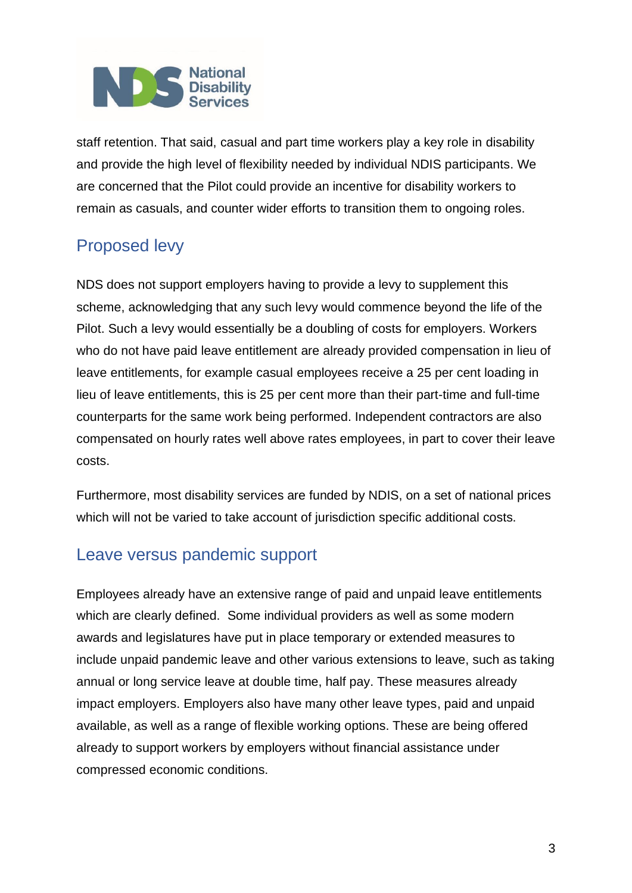staff retention. That said, casual and part time workers play a key role in disability and provide the high level of flexibility needed by individual NDIS participants. We are concerned that the Pilot could provide an incentive for disability workers to remain as casuals, and counter wider efforts to transition them to ongoing roles.

## Proposed levy

NDS does not support employers having to provide a levy to supplement this scheme, acknowledging that any such levy would commence beyond the life of the Pilot. Such a levy would essentially be a doubling of costs for employers. Workers who do not have paid leave entitlement are already provided compensation in lieu of leave entitlements, for example casual employees receive a 25 per cent loading in lieu of leave entitlements, this is 25 per cent more than their part-time and full-time counterparts for the same work being performed. Independent contractors are also compensated on hourly rates well above rates employees, in part to cover their leave costs.

Furthermore, most disability services are funded by NDIS, on a set of national prices which will not be varied to take account of jurisdiction specific additional costs.

### Leave versus pandemic support

Employees already have an extensive range of paid and unpaid leave entitlements which are clearly defined. Some individual providers as well as some modern awards and legislatures have put in place temporary or extended measures to include unpaid pandemic leave and other various extensions to leave, such as taking annual or long service leave at double time, half pay. These measures already impact employers. Employers also have many other leave types, paid and unpaid available, as well as a range of flexible working options. These are being offered already to support workers by employers without financial assistance under compressed economic conditions.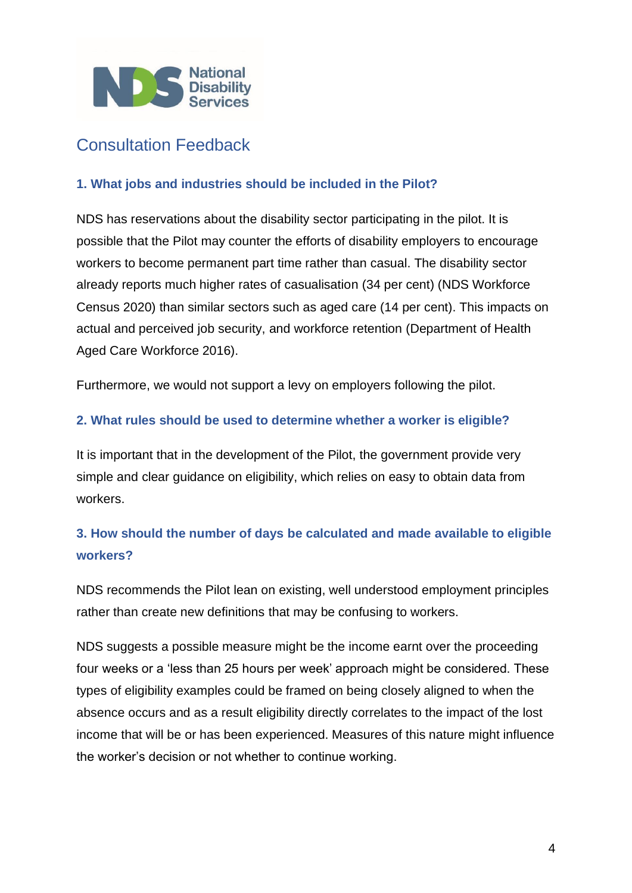

### Consultation Feedback

#### **1. What jobs and industries should be included in the Pilot?**

NDS has reservations about the disability sector participating in the pilot. It is possible that the Pilot may counter the efforts of disability employers to encourage workers to become permanent part time rather than casual. The disability sector already reports much higher rates of casualisation (34 per cent) (NDS Workforce Census 2020) than similar sectors such as aged care (14 per cent). This impacts on actual and perceived job security, and workforce retention (Department of Health Aged Care Workforce 2016).

Furthermore, we would not support a levy on employers following the pilot.

#### **2. What rules should be used to determine whether a worker is eligible?**

It is important that in the development of the Pilot, the government provide very simple and clear guidance on eligibility, which relies on easy to obtain data from workers.

#### **3. How should the number of days be calculated and made available to eligible workers?**

NDS recommends the Pilot lean on existing, well understood employment principles rather than create new definitions that may be confusing to workers.

NDS suggests a possible measure might be the income earnt over the proceeding four weeks or a 'less than 25 hours per week' approach might be considered. These types of eligibility examples could be framed on being closely aligned to when the absence occurs and as a result eligibility directly correlates to the impact of the lost income that will be or has been experienced. Measures of this nature might influence the worker's decision or not whether to continue working.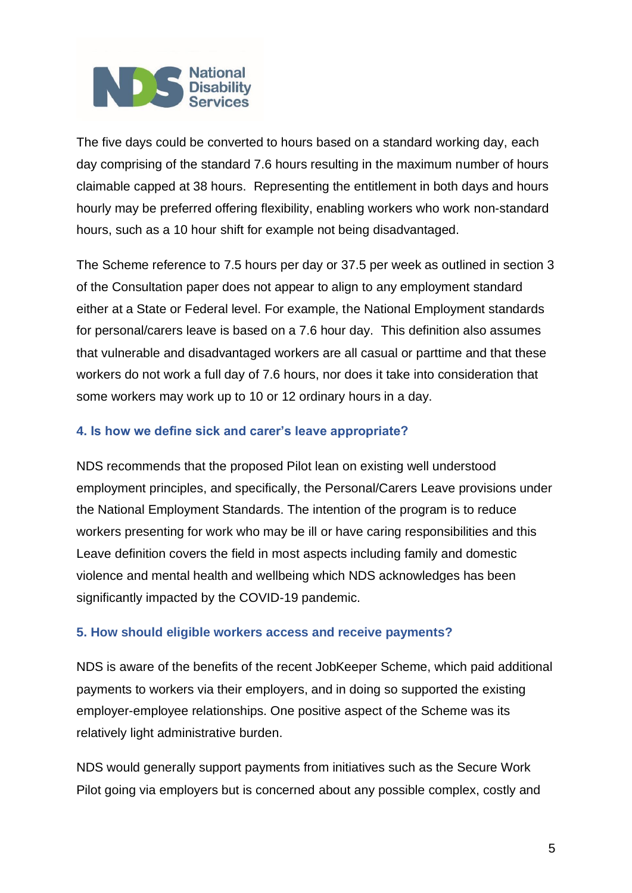The five days could be converted to hours based on a standard working day, each day comprising of the standard 7.6 hours resulting in the maximum number of hours claimable capped at 38 hours. Representing the entitlement in both days and hours hourly may be preferred offering flexibility, enabling workers who work non-standard hours, such as a 10 hour shift for example not being disadvantaged.

The Scheme reference to 7.5 hours per day or 37.5 per week as outlined in section 3 of the Consultation paper does not appear to align to any employment standard either at a State or Federal level. For example, the National Employment standards for personal/carers leave is based on a 7.6 hour day. This definition also assumes that vulnerable and disadvantaged workers are all casual or parttime and that these workers do not work a full day of 7.6 hours, nor does it take into consideration that some workers may work up to 10 or 12 ordinary hours in a day.

#### **4. Is how we define sick and carer's leave appropriate?**

NDS recommends that the proposed Pilot lean on existing well understood employment principles, and specifically, the Personal/Carers Leave provisions under the National Employment Standards. The intention of the program is to reduce workers presenting for work who may be ill or have caring responsibilities and this Leave definition covers the field in most aspects including family and domestic violence and mental health and wellbeing which NDS acknowledges has been significantly impacted by the COVID-19 pandemic.

#### **5. How should eligible workers access and receive payments?**

NDS is aware of the benefits of the recent JobKeeper Scheme, which paid additional payments to workers via their employers, and in doing so supported the existing employer-employee relationships. One positive aspect of the Scheme was its relatively light administrative burden.

NDS would generally support payments from initiatives such as the Secure Work Pilot going via employers but is concerned about any possible complex, costly and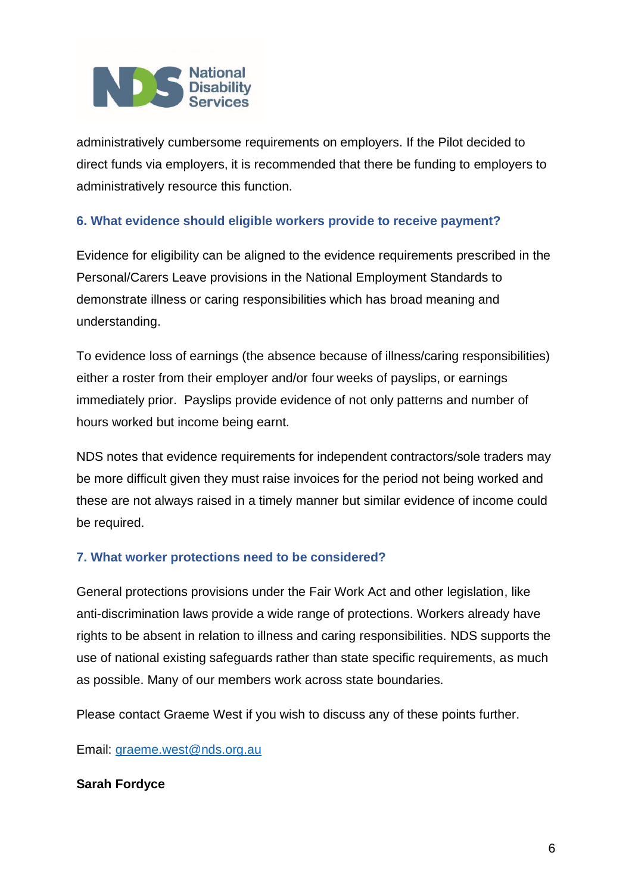administratively cumbersome requirements on employers. If the Pilot decided to direct funds via employers, it is recommended that there be funding to employers to administratively resource this function.

#### **6. What evidence should eligible workers provide to receive payment?**

Evidence for eligibility can be aligned to the evidence requirements prescribed in the Personal/Carers Leave provisions in the National Employment Standards to demonstrate illness or caring responsibilities which has broad meaning and understanding.

To evidence loss of earnings (the absence because of illness/caring responsibilities) either a roster from their employer and/or four weeks of payslips, or earnings immediately prior. Payslips provide evidence of not only patterns and number of hours worked but income being earnt.

NDS notes that evidence requirements for independent contractors/sole traders may be more difficult given they must raise invoices for the period not being worked and these are not always raised in a timely manner but similar evidence of income could be required.

#### **7. What worker protections need to be considered?**

General protections provisions under the Fair Work Act and other legislation, like anti-discrimination laws provide a wide range of protections. Workers already have rights to be absent in relation to illness and caring responsibilities. NDS supports the use of national existing safeguards rather than state specific requirements, as much as possible. Many of our members work across state boundaries.

Please contact Graeme West if you wish to discuss any of these points further.

Email: [graeme.west@nds.org.au](mailto:graeme.west@nds.org.au)

#### **Sarah Fordyce**